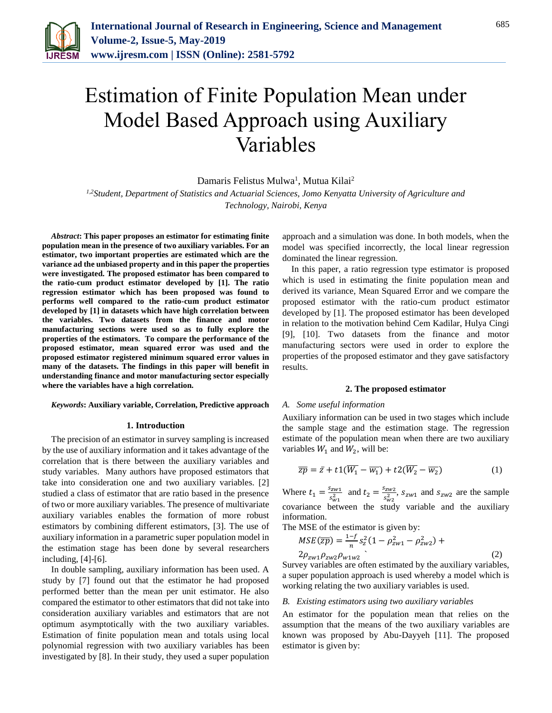

# Estimation of Finite Population Mean under Model Based Approach using Auxiliary Variables

Damaris Felistus Mulwa<sup>1</sup>, Mutua Kilai<sup>2</sup>

*1,2Student, Department of Statistics and Actuarial Sciences, Jomo Kenyatta University of Agriculture and Technology, Nairobi, Kenya*

*Abstract***: This paper proposes an estimator for estimating finite population mean in the presence of two auxiliary variables. For an estimator, two important properties are estimated which are the variance ad the unbiased property and in this paper the properties were investigated. The proposed estimator has been compared to the ratio-cum product estimator developed by [1]. The ratio regression estimator which has been proposed was found to performs well compared to the ratio-cum product estimator developed by [1] in datasets which have high correlation between the variables. Two datasets from the finance and motor manufacturing sections were used so as to fully explore the properties of the estimators. To compare the performance of the proposed estimator, mean squared error was used and the proposed estimator registered minimum squared error values in many of the datasets. The findings in this paper will benefit in understanding finance and motor manufacturing sector especially where the variables have a high correlation.** 

#### *Keywords***: Auxiliary variable, Correlation, Predictive approach**

# **1. Introduction**

The precision of an estimator in survey sampling is increased by the use of auxiliary information and it takes advantage of the correlation that is there between the auxiliary variables and study variables. Many authors have proposed estimators that take into consideration one and two auxiliary variables. [2] studied a class of estimator that are ratio based in the presence of two or more auxiliary variables. The presence of multivariate auxiliary variables enables the formation of more robust estimators by combining different estimators, [3]. The use of auxiliary information in a parametric super population model in the estimation stage has been done by several researchers including, [4]-[6].

In double sampling, auxiliary information has been used. A study by [7] found out that the estimator he had proposed performed better than the mean per unit estimator. He also compared the estimator to other estimators that did not take into consideration auxiliary variables and estimators that are not optimum asymptotically with the two auxiliary variables. Estimation of finite population mean and totals using local polynomial regression with two auxiliary variables has been investigated by [8]. In their study, they used a super population

approach and a simulation was done. In both models, when the model was specified incorrectly, the local linear regression dominated the linear regression.

In this paper, a ratio regression type estimator is proposed which is used in estimating the finite population mean and derived its variance, Mean Squared Error and we compare the proposed estimator with the ratio-cum product estimator developed by [1]. The proposed estimator has been developed in relation to the motivation behind Cem Kadilar, Hulya Cingi [9], [10]. Two datasets from the finance and motor manufacturing sectors were used in order to explore the properties of the proposed estimator and they gave satisfactory results.

#### **2. The proposed estimator**

#### *A. Some useful information*

Auxiliary information can be used in two stages which include the sample stage and the estimation stage. The regression estimate of the population mean when there are two auxiliary variables  $W_1$  and  $W_2$ , will be:

$$
\overline{zp} = \bar{z} + t \left( \overline{W_1} - \overline{w_1} \right) + t \left( \overline{W_2} - \overline{w_2} \right) \tag{1}
$$

Where  $t_1 = \frac{s_{zw1}}{s^2}$  $\frac{s_{zw1}}{s_{w1}^2}$  and  $t_2 = \frac{s_{zw2}}{s_{w2}^2}$  $\frac{s_{zw2}}{s_{w2}^2}$ ,  $s_{zw1}$  and  $s_{zw2}$  are the sample covariance between the study variable and the auxiliary information.

The MSE of the estimator is given by:

$$
MSE(\overline{zp}) = \frac{1-f}{n} s_z^2 (1 - \rho_{zw1}^2 - \rho_{zw2}^2) +
$$
  
2 $\rho_{zw1}\rho_{zw2}\rho_{w1w2}$  (2)

Survey variables are often estimated by the auxiliary variables, a super population approach is used whereby a model which is working relating the two auxiliary variables is used.

#### *B. Existing estimators using two auxiliary variables*

An estimator for the population mean that relies on the assumption that the means of the two auxiliary variables are known was proposed by Abu-Dayyeh [11]. The proposed estimator is given by: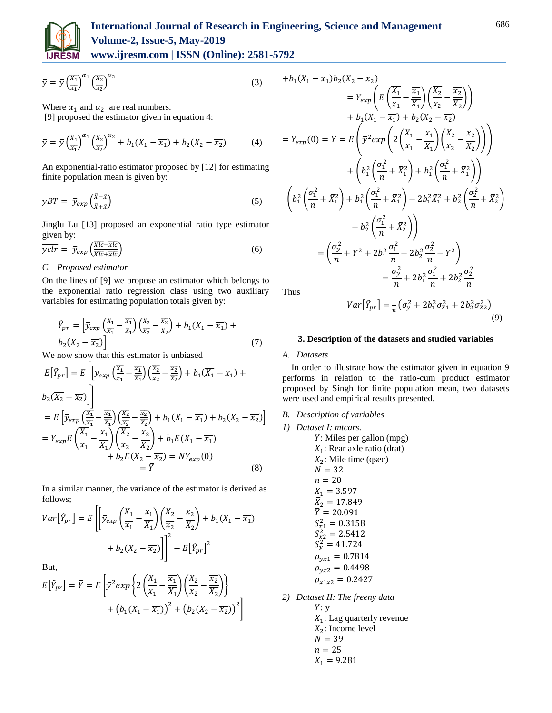

# **International Journal of Research in Engineering, Science and Management Volume-2, Issue-5, May-2019**

**www.ijresm.com | ISSN (Online): 2581-5792** 

$$
\bar{y} = \bar{y} \left(\frac{\overline{x_1}}{\overline{x_1}}\right)^{\alpha_1} \left(\frac{\overline{x_2}}{\overline{x_2}}\right)^{\alpha_2} \tag{3}
$$

Where  $\alpha_1$  and  $\alpha_2$  are real numbers.

[9] proposed the estimator given in equation 4:

$$
\bar{y} = \bar{y} \left(\frac{\overline{x_1}}{\overline{x_1}}\right)^{\alpha_1} \left(\frac{\overline{x_2}}{\overline{x_2}}\right)^{\alpha_2} + b_1(\overline{x_1} - \overline{x_1}) + b_2(\overline{x_2} - \overline{x_2}) \tag{4}
$$

An exponential-ratio estimator proposed by [12] for estimating finite population mean is given by:

$$
\overline{yBT} = \overline{y}_{exp} \left( \frac{\overline{x} - \overline{x}}{\overline{x} + \overline{x}} \right) \tag{5}
$$

Jinglu Lu [13] proposed an exponential ratio type estimator given by:

$$
\overline{yclr} = \bar{y}_{exp} \left( \frac{\overline{Xlc} - \overline{xlc}}{\overline{Xlc} + \overline{xlc}} \right)
$$
(6)

# *C. Proposed estimator*

On the lines of [9] we propose an estimator which belongs to the exponential ratio regression class using two auxiliary variables for estimating population totals given by:

$$
\hat{Y}_{pr} = \left[ \bar{y}_{exp} \left( \frac{\overline{X_1}}{\overline{X_1}} - \frac{\overline{X_1}}{\overline{X_1}} \right) \left( \frac{\overline{X_2}}{\overline{X_2}} - \frac{\overline{X_2}}{\overline{X_2}} \right) + b_1 (\overline{X_1} - \overline{X_1}) + b_2 (\overline{X_2} - \overline{X_2}) \right]
$$
\n(7)

We now show that this estimator is unbiased  $\Gamma$ 

$$
E\left[\hat{Y}_{pr}\right] = E\left[\bar{y}_{exp}\left(\frac{\overline{x_1}}{\overline{x_1}} - \frac{\overline{x_1}}{\overline{x_1}}\right)\left(\frac{\overline{x_2}}{\overline{x_2}} - \frac{\overline{x_2}}{\overline{x_2}}\right) + b_1(\overline{X_1} - \overline{x_1}) + b_2(\overline{X_2} - \overline{x_2})\right]\right]
$$
  
\n
$$
= E\left[\bar{y}_{exp}\left(\frac{\overline{X_1}}{\overline{x_1}} - \frac{\overline{x_1}}{\overline{x_1}}\right)\left(\frac{\overline{X_2}}{\overline{x_2}} - \frac{\overline{x_2}}{\overline{x_2}}\right) + b_1(\overline{X_1} - \overline{x_1}) + b_2(\overline{X_2} - \overline{x_2})\right]
$$
  
\n
$$
= \overline{Y}_{exp}E\left(\frac{\overline{X_1}}{\overline{x_1}} - \frac{\overline{x_1}}{\overline{X_1}}\right)\left(\frac{\overline{X_2}}{\overline{x_2}} - \frac{\overline{x_2}}{\overline{X_2}}\right) + b_1E(\overline{X_1} - \overline{x_1}) + b_2E(\overline{X_2} - \overline{x_2}) = N\overline{Y}_{exp}(0)
$$
  
\n
$$
= \overline{Y}
$$
 (8)

In a similar manner, the variance of the estimator is derived as follows;

$$
Var\left[\hat{Y}_{pr}\right] = E\left[\left[\overline{y}_{exp}\left(\frac{\overline{X_1}}{\overline{x_1}} - \frac{\overline{x_1}}{\overline{X_1}}\right)\left(\frac{\overline{X_2}}{\overline{x_2}} - \frac{\overline{x_2}}{\overline{X_2}}\right) + b_1(\overline{X_1} - \overline{x_1}) + b_2(\overline{X_2} - \overline{x_2})\right]\right]^2 - E\left[\hat{Y}_{pr}\right]^2
$$

But,

$$
E\left[\hat{Y}_{pr}\right] = \overline{Y} = E\left[\overline{y}^2 \exp\left\{2\left(\frac{\overline{X_1}}{\overline{x_1}} - \frac{\overline{x_1}}{\overline{X_1}}\right)\left(\frac{\overline{X_2}}{\overline{x_2}} - \frac{\overline{x_2}}{\overline{X_2}}\right)\right\} + \left(b_1(\overline{X_1} - \overline{x_1})\right)^2 + \left(b_2(\overline{X_2} - \overline{x_2})\right)^2\right]
$$

$$
+b_{1}(\overline{X_{1}} - \overline{x_{1}})b_{2}(\overline{X_{2}} - \overline{x_{2}})
$$
\n
$$
= \overline{Y}_{exp}\left(E\left(\frac{\overline{X_{1}}}{\overline{x_{1}}}-\frac{\overline{x_{1}}}{\overline{X_{1}}}\right)\left(\frac{\overline{X_{2}}}{\overline{x_{2}}}-\frac{\overline{x_{2}}}{\overline{X_{2}}}\right)\right)
$$
\n
$$
+ b_{1}(\overline{X_{1}} - \overline{x_{1}}) + b_{2}(\overline{X_{2}} - \overline{x_{2}})
$$
\n
$$
= \overline{Y}_{exp}(0) = Y = E\left(\overline{y^{2}}exp\left(2\left(\frac{\overline{X_{1}}}{\overline{x_{1}}}-\frac{\overline{x_{1}}}{\overline{X_{1}}}\right)\left(\frac{\overline{X_{2}}}{\overline{x_{2}}}-\frac{\overline{x_{2}}}{\overline{X_{2}}}\right)\right)\right)
$$
\n
$$
+ \left(b_{1}^{2}\left(\frac{\sigma_{1}^{2}}{n}+\overline{X}_{1}^{2}\right)+b_{1}^{2}\left(\frac{\sigma_{1}^{2}}{n}+\overline{X}_{1}^{2}\right)\right)
$$
\n
$$
\left(b_{1}^{2}\left(\frac{\sigma_{1}^{2}}{n}+\overline{X}_{1}^{2}\right)+b_{1}^{2}\left(\frac{\sigma_{1}^{2}}{n}+\overline{X}_{1}^{2}\right)-2b_{1}^{2}\overline{X}_{1}^{2}+b_{2}^{2}\left(\frac{\sigma_{2}^{2}}{n}+\overline{X}_{2}^{2}\right)\right)
$$
\n
$$
+ b_{2}^{2}\left(\frac{\sigma_{1}^{2}}{n}+\overline{X}_{2}^{2}\right)\right)
$$
\n
$$
= \left(\frac{\sigma_{y}^{2}}{n}+\overline{Y}^{2}+2b_{1}^{2}\frac{\sigma_{1}^{2}}{n}+2b_{2}^{2}\frac{\sigma_{2}^{2}}{n}-\overline{Y}^{2}\right)
$$
\n
$$
= \frac{\sigma_{y}^{2}}{n}+2b_{1}^{2}\frac{\sigma_{1}^{2}}{n}+2b_{2}^{2}\frac{\sigma_{2}^{2}}{n}
$$
\nThus

Thus

$$
Var\big[\hat{Y}_{pr}\big] = \frac{1}{n} \big(\sigma_y^2 + 2b_1^2 \sigma_{x_1}^2 + 2b_2^2 \sigma_{x_2}^2\big) \tag{9}
$$

# **3. Description of the datasets and studied variables**

# *A. Datasets*

In order to illustrate how the estimator given in equation 9 performs in relation to the ratio-cum product estimator proposed by Singh for finite population mean, two datasets were used and empirical results presented.

# *B. Description of variables*

*1) Dataset I: mtcars.* 

*Y*: Miles per gallon (mpg)  
\n
$$
X_1
$$
: Rear axle ratio (drat)  
\n $X_2$ : Mile time (qsec)  
\n $N = 32$   
\n $n = 20$   
\n $\bar{X}_1 = 3.597$   
\n $\bar{X}_2 = 17.849$   
\n $\bar{Y} = 20.091$   
\n $S_{x1}^2 = 0.3158$   
\n $S_{x2}^2 = 2.5412$   
\n $S_{y2}^2 = 41.724$   
\n $\rho_{yx1} = 0.7814$   
\n $\rho_{yx2} = 0.4498$   
\n $\rho_{x1x2} = 0.2427$ 

*2) Dataset II: The freeny data*  $Y: y$  $X_1$ : Lag quarterly revenue  $X_2$ : Income level  $N = 39$  $n = 25$  $\bar{X}_1 = 9.281$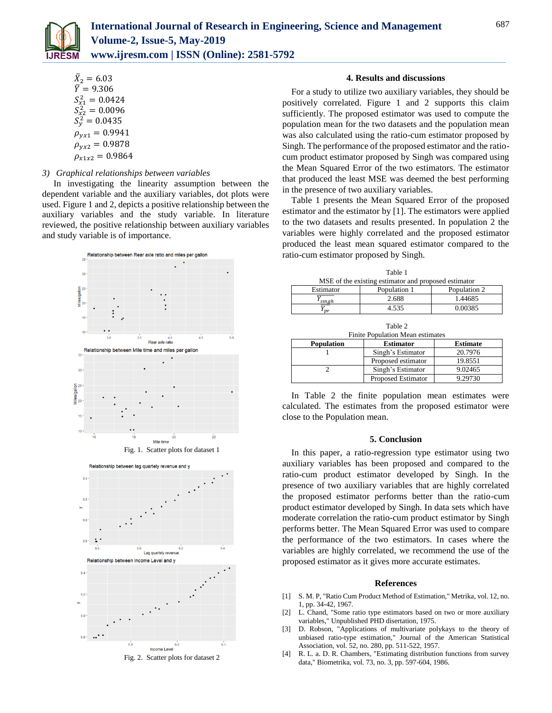

$$
\bar{X}_2 = 6.03
$$
\n
$$
\bar{Y} = 9.306
$$
\n
$$
S_{x1}^2 = 0.0424
$$
\n
$$
S_{x2}^2 = 0.0096
$$
\n
$$
S_y^2 = 0.0435
$$
\n
$$
\rho_{yx1} = 0.9941
$$
\n
$$
\rho_{yx2} = 0.9878
$$
\n
$$
\rho_{x1x2} = 0.9864
$$

# *3) Graphical relationships between variables*

In investigating the linearity assumption between the dependent variable and the auxiliary variables, dot plots were used. Figure 1 and 2, depicts a positive relationship between the auxiliary variables and the study variable. In literature reviewed, the positive relationship between auxiliary variables and study variable is of importance.





### **4. Results and discussions**

For a study to utilize two auxiliary variables, they should be positively correlated. Figure 1 and 2 supports this claim sufficiently. The proposed estimator was used to compute the population mean for the two datasets and the population mean was also calculated using the ratio-cum estimator proposed by Singh. The performance of the proposed estimator and the ratiocum product estimator proposed by Singh was compared using the Mean Squared Error of the two estimators. The estimator that produced the least MSE was deemed the best performing in the presence of two auxiliary variables.

Table 1 presents the Mean Squared Error of the proposed estimator and the estimator by [1]. The estimators were applied to the two datasets and results presented. In population 2 the variables were highly correlated and the proposed estimator produced the least mean squared estimator compared to the ratio-cum estimator proposed by Singh.

| Table 1                                              |              |              |  |
|------------------------------------------------------|--------------|--------------|--|
| MSE of the existing estimator and proposed estimator |              |              |  |
| Estimator                                            | Population 1 | Population 2 |  |
| I sıngh                                              | 2.688        | 1.44685      |  |
| $\mathit{pr}$                                        | 4.535        | 0.00385      |  |

Table 2 Finite Population Mean estimates

| <b>Population</b> | <b>Estimator</b>   | <b>Estimate</b> |  |
|-------------------|--------------------|-----------------|--|
|                   | Singh's Estimator  | 20.7976         |  |
|                   | Proposed estimator | 19.8551         |  |
|                   | Singh's Estimator  | 9.02465         |  |
|                   | Proposed Estimator | 9.29730         |  |

In Table 2 the finite population mean estimates were calculated. The estimates from the proposed estimator were close to the Population mean.

#### **5. Conclusion**

In this paper, a ratio-regression type estimator using two auxiliary variables has been proposed and compared to the ratio-cum product estimator developed by Singh. In the presence of two auxiliary variables that are highly correlated the proposed estimator performs better than the ratio-cum product estimator developed by Singh. In data sets which have moderate correlation the ratio-cum product estimator by Singh performs better. The Mean Squared Error was used to compare the performance of the two estimators. In cases where the variables are highly correlated, we recommend the use of the proposed estimator as it gives more accurate estimates.

#### **References**

- [1] S. M. P, "Ratio Cum Product Method of Estimation," Metrika, vol. 12, no. 1, pp. 34-42, 1967.
- [2] L. Chand, "Some ratio type estimators based on two or more auxiliary variables," Unpublished PHD disertation, 1975.
- [3] D. Robson, "Applications of multivariate polykays to the theory of unbiased ratio-type estimation," Journal of the American Statistical Association, vol. 52, no. 280, pp. 511-522, 1957.
- [4] R. L. a. D. R. Chambers, "Estimating distribution functions from survey data," Biometrika, vol. 73, no. 3, pp. 597-604, 1986.